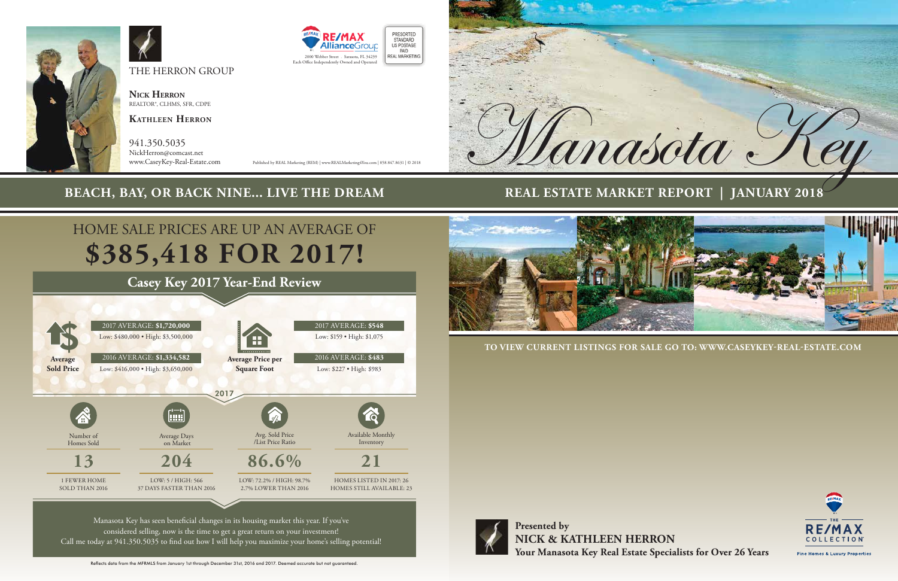**Presented by NICK & KATHLEEN HERRON Your Manasota Key Real Estate Specialists for Over 26 Years**

**TO VIEW CURRENT LISTINGS FOR SALE GO TO: WWW.CASEYKEY-REAL-ESTATE.COM** 



# **REAL ESTATE MARKET REPORT | JANUARY 2018**



THE HERRON GROUP

**Nick Herron** REALTOR®, CLHMS, SFR, CDPE

**Kathleen Herron**

941.350.5035 NickHerron@comcast.net

www.CaseyKey-Real-Estate.com Published by REAL Marketing (REM) | www.REALMarketing4You.com | 858.847.8631 | © 2018





PRESORTED STANDARD

PAID

# **BEACH, BAY, OR BACK NINE... LIVE THE DREAM**



# **\$385,418 FOR 2017!** HOME SALE PRICES ARE UP AN AVERAGE OF

Manasota Key has seen beneficial changes in its housing market this year. If you've considered selling, now is the time to get a great return on your investment! Call me today at 941.350.5035 to find out how I will help you maximize your home's selling potential!



# **Casey Key 2017 Year-End Review**

Reflects data from the MFRMLS from January 1st through December 31st, 2016 and 2017. Deemed accurate but not guaranteed.



Fine Homes & Luxury Properties